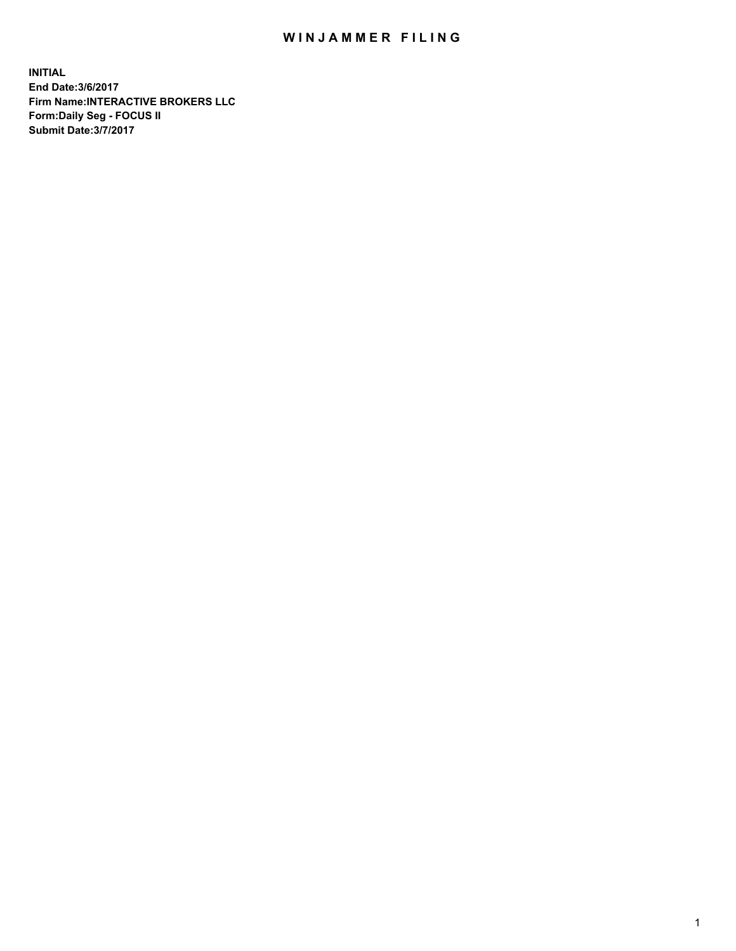## WIN JAMMER FILING

**INITIAL End Date:3/6/2017 Firm Name:INTERACTIVE BROKERS LLC Form:Daily Seg - FOCUS II Submit Date:3/7/2017**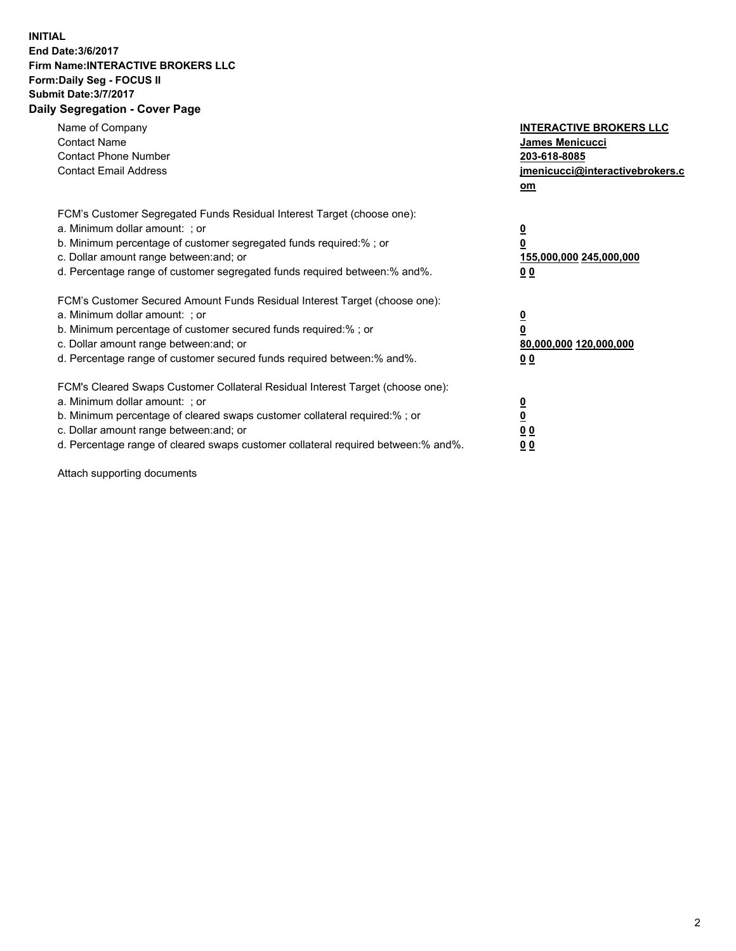## **INITIAL End Date:3/6/2017 Firm Name:INTERACTIVE BROKERS LLC Form:Daily Seg - FOCUS II Submit Date:3/7/2017 Daily Segregation - Cover Page**

| Name of Company<br><b>Contact Name</b><br><b>Contact Phone Number</b><br><b>Contact Email Address</b>                                                                                                                                                                                                                          | <b>INTERACTIVE BROKERS LLC</b><br>James Menicucci<br>203-618-8085<br>jmenicucci@interactivebrokers.c<br>om |
|--------------------------------------------------------------------------------------------------------------------------------------------------------------------------------------------------------------------------------------------------------------------------------------------------------------------------------|------------------------------------------------------------------------------------------------------------|
| FCM's Customer Segregated Funds Residual Interest Target (choose one):<br>a. Minimum dollar amount: ; or<br>b. Minimum percentage of customer segregated funds required:% ; or<br>c. Dollar amount range between: and; or<br>d. Percentage range of customer segregated funds required between:% and%.                         | $\overline{\mathbf{0}}$<br>0<br>155,000,000 245,000,000<br>0 <sub>0</sub>                                  |
| FCM's Customer Secured Amount Funds Residual Interest Target (choose one):<br>a. Minimum dollar amount: ; or<br>b. Minimum percentage of customer secured funds required:%; or<br>c. Dollar amount range between: and; or<br>d. Percentage range of customer secured funds required between: % and %.                          | $\overline{\mathbf{0}}$<br>0<br>80,000,000 120,000,000<br>0 <sub>0</sub>                                   |
| FCM's Cleared Swaps Customer Collateral Residual Interest Target (choose one):<br>a. Minimum dollar amount: ; or<br>b. Minimum percentage of cleared swaps customer collateral required:% ; or<br>c. Dollar amount range between: and; or<br>d. Percentage range of cleared swaps customer collateral required between:% and%. | $\overline{\mathbf{0}}$<br>$\overline{\mathbf{0}}$<br>0 <sub>0</sub><br>0 <sub>0</sub>                     |

Attach supporting documents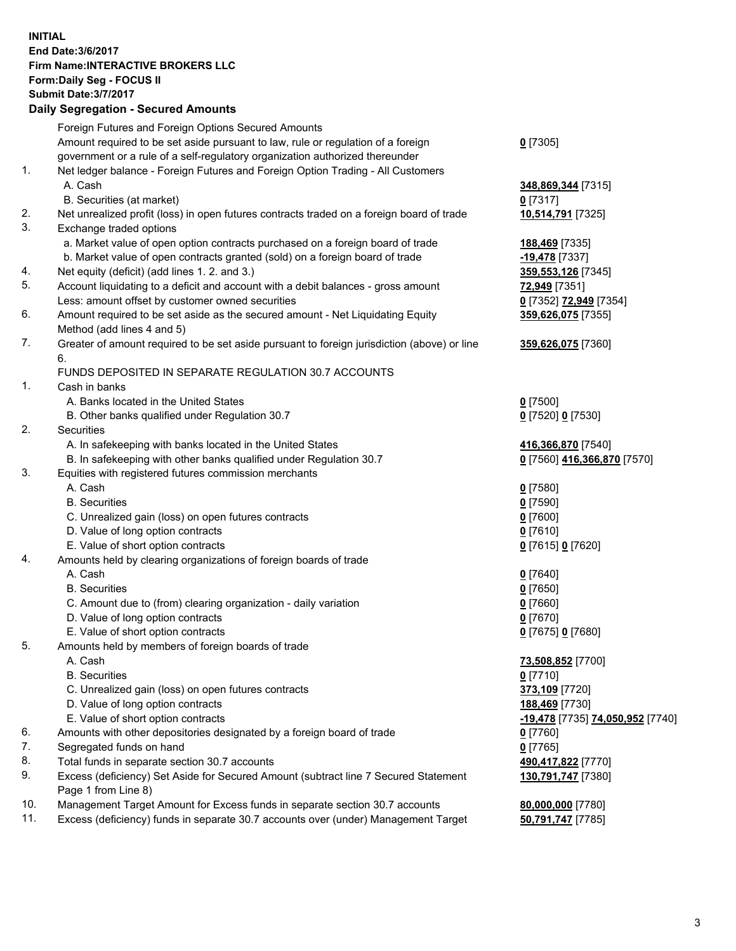**INITIAL End Date:3/6/2017 Firm Name:INTERACTIVE BROKERS LLC Form:Daily Seg - FOCUS II Submit Date:3/7/2017 Daily Segregation - Secured Amounts**

|     | Foreign Futures and Foreign Options Secured Amounts                                         |                                  |
|-----|---------------------------------------------------------------------------------------------|----------------------------------|
|     | Amount required to be set aside pursuant to law, rule or regulation of a foreign            | $0$ [7305]                       |
|     | government or a rule of a self-regulatory organization authorized thereunder                |                                  |
| 1.  | Net ledger balance - Foreign Futures and Foreign Option Trading - All Customers             |                                  |
|     | A. Cash                                                                                     | 348,869,344 [7315]               |
|     | B. Securities (at market)                                                                   | $0$ [7317]                       |
| 2.  | Net unrealized profit (loss) in open futures contracts traded on a foreign board of trade   | 10,514,791 [7325]                |
| 3.  | Exchange traded options                                                                     |                                  |
|     | a. Market value of open option contracts purchased on a foreign board of trade              | 188,469 [7335]                   |
|     | b. Market value of open contracts granted (sold) on a foreign board of trade                | -19,478 [7337]                   |
| 4.  | Net equity (deficit) (add lines 1.2. and 3.)                                                | 359,553,126 [7345]               |
| 5.  | Account liquidating to a deficit and account with a debit balances - gross amount           | 72,949 [7351]                    |
|     | Less: amount offset by customer owned securities                                            | 0 [7352] 72,949 [7354]           |
| 6.  | Amount required to be set aside as the secured amount - Net Liquidating Equity              | 359,626,075 [7355]               |
|     | Method (add lines 4 and 5)                                                                  |                                  |
| 7.  | Greater of amount required to be set aside pursuant to foreign jurisdiction (above) or line | 359,626,075 [7360]               |
|     | 6.                                                                                          |                                  |
|     | FUNDS DEPOSITED IN SEPARATE REGULATION 30.7 ACCOUNTS                                        |                                  |
| 1.  | Cash in banks                                                                               |                                  |
|     | A. Banks located in the United States                                                       | $0$ [7500]                       |
|     | B. Other banks qualified under Regulation 30.7                                              | 0 [7520] 0 [7530]                |
| 2.  | Securities                                                                                  |                                  |
|     | A. In safekeeping with banks located in the United States                                   | 416,366,870 [7540]               |
|     | B. In safekeeping with other banks qualified under Regulation 30.7                          | 0 [7560] 416,366,870 [7570]      |
| 3.  | Equities with registered futures commission merchants                                       |                                  |
|     | A. Cash                                                                                     | $0$ [7580]                       |
|     | <b>B.</b> Securities                                                                        | $0$ [7590]                       |
|     | C. Unrealized gain (loss) on open futures contracts                                         | $0$ [7600]                       |
|     | D. Value of long option contracts                                                           | $0$ [7610]                       |
|     | E. Value of short option contracts                                                          | 0 [7615] 0 [7620]                |
| 4.  | Amounts held by clearing organizations of foreign boards of trade                           |                                  |
|     | A. Cash                                                                                     | $0$ [7640]                       |
|     | <b>B.</b> Securities                                                                        | $0$ [7650]                       |
|     | C. Amount due to (from) clearing organization - daily variation                             | $0$ [7660]                       |
|     | D. Value of long option contracts                                                           | $0$ [7670]                       |
|     | E. Value of short option contracts                                                          |                                  |
| 5.  |                                                                                             | 0 [7675] 0 [7680]                |
|     | Amounts held by members of foreign boards of trade                                          | 73,508,852 [7700]                |
|     | A. Cash                                                                                     |                                  |
|     | <b>B.</b> Securities                                                                        | $0$ [7710]                       |
|     | C. Unrealized gain (loss) on open futures contracts                                         | 373,109 [7720]                   |
|     | D. Value of long option contracts                                                           | 188,469 [7730]                   |
|     | E. Value of short option contracts                                                          | -19,478 [7735] 74,050,952 [7740] |
| 6.  | Amounts with other depositories designated by a foreign board of trade                      | $0$ [7760]                       |
| 7.  | Segregated funds on hand                                                                    | $0$ [7765]                       |
| 8.  | Total funds in separate section 30.7 accounts                                               | 490,417,822 [7770]               |
| 9.  | Excess (deficiency) Set Aside for Secured Amount (subtract line 7 Secured Statement         | 130,791,747 [7380]               |
|     | Page 1 from Line 8)                                                                         |                                  |
| 10. | Management Target Amount for Excess funds in separate section 30.7 accounts                 | 80,000,000 [7780]                |
| 11. | Excess (deficiency) funds in separate 30.7 accounts over (under) Management Target          | 50,791,747 [7785]                |
|     |                                                                                             |                                  |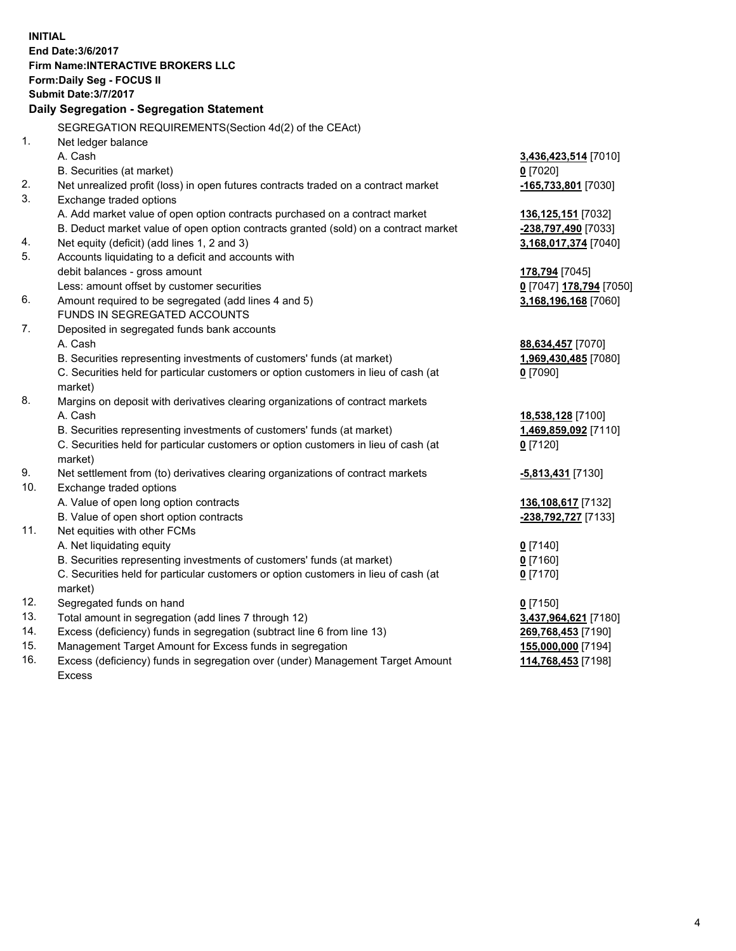**INITIAL End Date:3/6/2017 Firm Name:INTERACTIVE BROKERS LLC Form:Daily Seg - FOCUS II Submit Date:3/7/2017 Daily Segregation - Segregation Statement** SEGREGATION REQUIREMENTS(Section 4d(2) of the CEAct) 1. Net ledger balance A. Cash **3,436,423,514** [7010] B. Securities (at market) **0** [7020] 2. Net unrealized profit (loss) in open futures contracts traded on a contract market **-165,733,801** [7030] 3. Exchange traded options A. Add market value of open option contracts purchased on a contract market **136,125,151** [7032] B. Deduct market value of open option contracts granted (sold) on a contract market **-238,797,490** [7033] 4. Net equity (deficit) (add lines 1, 2 and 3) **3,168,017,374** [7040] 5. Accounts liquidating to a deficit and accounts with debit balances - gross amount **178,794** [7045] Less: amount offset by customer securities **0** [7047] **178,794** [7050] 6. Amount required to be segregated (add lines 4 and 5) **3,168,196,168** [7060] FUNDS IN SEGREGATED ACCOUNTS 7. Deposited in segregated funds bank accounts A. Cash **88,634,457** [7070] B. Securities representing investments of customers' funds (at market) **1,969,430,485** [7080] C. Securities held for particular customers or option customers in lieu of cash (at market) **0** [7090] 8. Margins on deposit with derivatives clearing organizations of contract markets A. Cash **18,538,128** [7100] B. Securities representing investments of customers' funds (at market) **1,469,859,092** [7110] C. Securities held for particular customers or option customers in lieu of cash (at market) **0** [7120] 9. Net settlement from (to) derivatives clearing organizations of contract markets **-5,813,431** [7130] 10. Exchange traded options A. Value of open long option contracts **136,108,617** [7132] B. Value of open short option contracts **-238,792,727** [7133] 11. Net equities with other FCMs A. Net liquidating equity **0** [7140] B. Securities representing investments of customers' funds (at market) **0** [7160] C. Securities held for particular customers or option customers in lieu of cash (at market) **0** [7170] 12. Segregated funds on hand **0** [7150] 13. Total amount in segregation (add lines 7 through 12) **3,437,964,621** [7180] 14. Excess (deficiency) funds in segregation (subtract line 6 from line 13) **269,768,453** [7190] 15. Management Target Amount for Excess funds in segregation **155,000,000** [7194] **114,768,453** [7198]

16. Excess (deficiency) funds in segregation over (under) Management Target Amount Excess